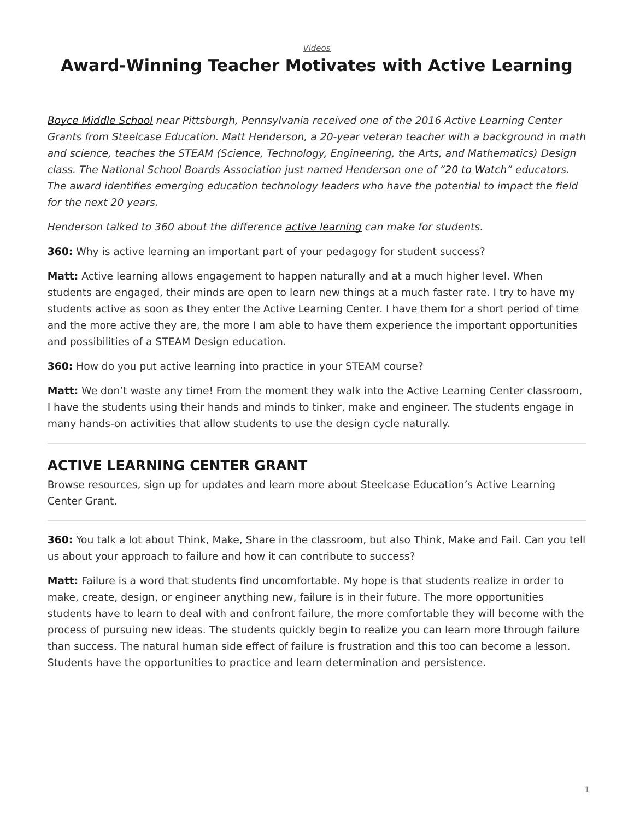[Videos](https://www.steelcase.com/research/topics/video/)

## <span id="page-0-0"></span>**Award-Winning Teacher Motivates with Active Learning**

[Boyce Middle School](https://www.uscsd.k12.pa.us/Domain/322) near Pittsburgh, Pennsylvania received one of the 2016 Active Learning Center Grants from Steelcase Education. Matt Henderson, a 20-year veteran teacher with a background in math and science, teaches the STEAM (Science, Technology, Engineering, the Arts, and Mathematics) Design class. The National School Boards Association just named Henderson one of ["20 to Watch"](https://www.nsba.org/services/technology-leadership-network/recognition-programs/20-watch) educators. The award identifies emerging education technology leaders who have the potential to impact the field for the next 20 years.

Henderson talked to 360 about the difference [active learning](https://www.steelcase.com/discover/information/education/active-learning-center-grant/?utm_source=360research&utm_medium=blog&utm_campaign=alcgrant&utm_content=boyceqa) can make for students.

**360:** Why is active learning an important part of your pedagogy for student success?

**Matt:** Active learning allows engagement to happen naturally and at a much higher level. When students are engaged, their minds are open to learn new things at a much faster rate. I try to have my students active as soon as they enter the Active Learning Center. I have them for a short period of time and the more active they are, the more I am able to have them experience the important opportunities and possibilities of a STEAM Design education.

**360:** How do you put active learning into practice in your STEAM course?

**Matt:** We don't waste any time! From the moment they walk into the Active Learning Center classroom, I have the students using their hands and minds to tinker, make and engineer. The students engage in many hands-on activities that allow students to use the design cycle naturally.

## **ACTIVE LEARNING CENTER GRANT**

Browse resources, sign up for updates and learn more about Steelcase Education's Active Learning Center Grant.

**360:** You talk a lot about Think, Make, Share in the classroom, but also Think, Make and Fail. Can you tell us about your approach to failure and how it can contribute to success?

**Matt:** Failure is a word that students find uncomfortable. My hope is that students realize in order to make, create, design, or engineer anything new, failure is in their future. The more opportunities students have to learn to deal with and confront failure, the more comfortable they will become with the process of pursuing new ideas. The students quickly begin to realize you can learn more through failure than success. The natural human side effect of failure is frustration and this too can become a lesson. Students have the opportunities to practice and learn determination and persistence.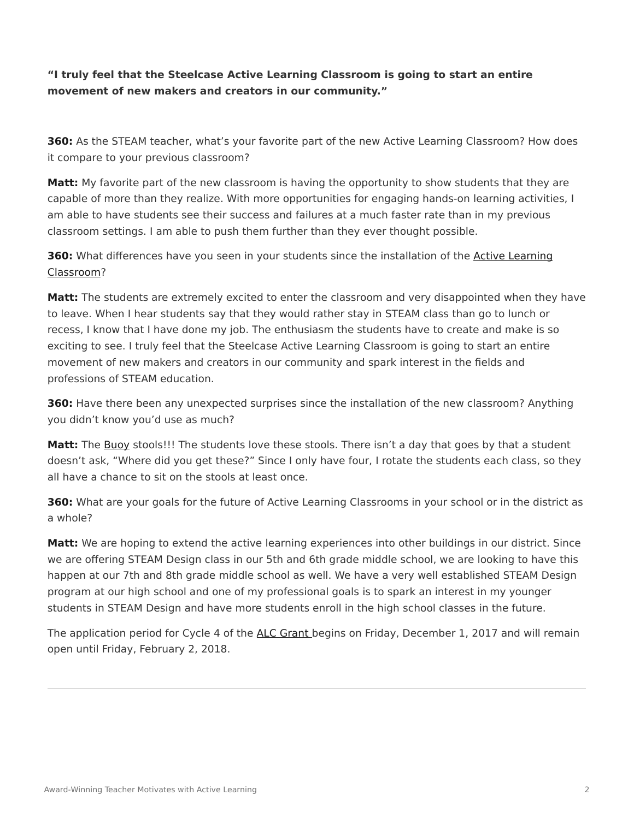## **"I truly feel that the Steelcase Active Learning Classroom is going to start an entire movement of new makers and creators in our community."**

**360:** As the STEAM teacher, what's your favorite part of the new Active Learning Classroom? How does it compare to your previous classroom?

**Matt:** My favorite part of the new classroom is having the opportunity to show students that they are capable of more than they realize. With more opportunities for engaging hands-on learning activities, I am able to have students see their success and failures at a much faster rate than in my previous classroom settings. I am able to push them further than they ever thought possible.

**360:** What differences have you seen in your students since the installation of the [Active Learning](https://www.steelcase.com/discover/information/education/active-learning-center-grant/?utm_source=360research&utm_medium=blog&utm_campaign=alcgrant&utm_content=boyceqa) [Classroom](https://www.steelcase.com/discover/information/education/active-learning-center-grant/?utm_source=360research&utm_medium=blog&utm_campaign=alcgrant&utm_content=boyceqa)?

**Matt:** The students are extremely excited to enter the classroom and very disappointed when they have to leave. When I hear students say that they would rather stay in STEAM class than go to lunch or recess, I know that I have done my job. The enthusiasm the students have to create and make is so exciting to see. I truly feel that the Steelcase Active Learning Classroom is going to start an entire movement of new makers and creators in our community and spark interest in the fields and professions of STEAM education.

**360:** Have there been any unexpected surprises since the installation of the new classroom? Anything you didn't know you'd use as much?

**Matt:** The [Buoy](https://www.steelcase.com/products/education-lounge-seating/turnstone-buoy/) stools!!! The students love these stools. There isn't a day that goes by that a student doesn't ask, "Where did you get these?" Since I only have four, I rotate the students each class, so they all have a chance to sit on the stools at least once.

**360:** What are your goals for the future of Active Learning Classrooms in your school or in the district as a whole?

**Matt:** We are hoping to extend the active learning experiences into other buildings in our district. Since we are offering STEAM Design class in our 5th and 6th grade middle school, we are looking to have this happen at our 7th and 8th grade middle school as well. We have a very well established STEAM Design program at our high school and one of my professional goals is to spark an interest in my younger students in STEAM Design and have more students enroll in the high school classes in the future.

The application period for Cycle 4 of the [ALC Grant](https://www.steelcase.com/discover/information/education/active-learning-center-grant/?utm_source=360research&utm_medium=blog&utm_campaign=alcgrant&utm_content=boyceqa) begins on Friday, December 1, 2017 and will remain open until Friday, February 2, 2018.